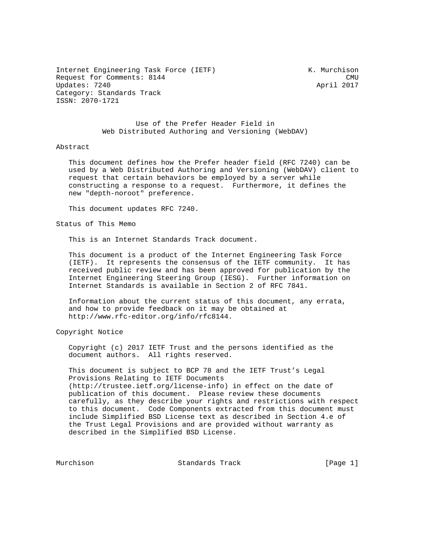Internet Engineering Task Force (IETF) K. Murchison Request for Comments: 8144 CMU Updates: 7240 April 2017 Category: Standards Track ISSN: 2070-1721

 Use of the Prefer Header Field in Web Distributed Authoring and Versioning (WebDAV)

#### Abstract

 This document defines how the Prefer header field (RFC 7240) can be used by a Web Distributed Authoring and Versioning (WebDAV) client to request that certain behaviors be employed by a server while constructing a response to a request. Furthermore, it defines the new "depth-noroot" preference.

This document updates RFC 7240.

Status of This Memo

This is an Internet Standards Track document.

 This document is a product of the Internet Engineering Task Force (IETF). It represents the consensus of the IETF community. It has received public review and has been approved for publication by the Internet Engineering Steering Group (IESG). Further information on Internet Standards is available in Section 2 of RFC 7841.

 Information about the current status of this document, any errata, and how to provide feedback on it may be obtained at http://www.rfc-editor.org/info/rfc8144.

Copyright Notice

 Copyright (c) 2017 IETF Trust and the persons identified as the document authors. All rights reserved.

 This document is subject to BCP 78 and the IETF Trust's Legal Provisions Relating to IETF Documents (http://trustee.ietf.org/license-info) in effect on the date of publication of this document. Please review these documents carefully, as they describe your rights and restrictions with respect to this document. Code Components extracted from this document must include Simplified BSD License text as described in Section 4.e of the Trust Legal Provisions and are provided without warranty as described in the Simplified BSD License.

Murchison Standards Track [Page 1]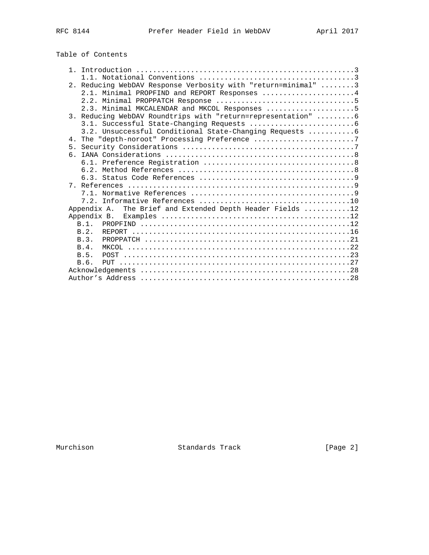|  |  |  | Table of Contents |
|--|--|--|-------------------|
|--|--|--|-------------------|

|    |             | 2. Reducing WebDAV Response Verbosity with "return=minimal" 3 |
|----|-------------|---------------------------------------------------------------|
|    |             | 2.1. Minimal PROPFIND and REPORT Responses 4                  |
|    |             |                                                               |
|    |             | 2.3. Minimal MKCALENDAR and MKCOL Responses 5                 |
|    |             | 3. Reducing WebDAV Roundtrips with "return=representation"  6 |
|    |             |                                                               |
|    |             | 3.2. Unsuccessful Conditional State-Changing Requests  6      |
|    |             | 4. The "depth-noroot" Processing Preference 7                 |
|    |             |                                                               |
| б. |             |                                                               |
|    |             |                                                               |
|    |             |                                                               |
|    |             |                                                               |
|    |             |                                                               |
|    |             |                                                               |
|    |             |                                                               |
|    | Appendix A. | The Brief and Extended Depth Header Fields 12                 |
|    | Appendix B. |                                                               |
|    |             |                                                               |
|    | B.2.        |                                                               |
|    | B.3.        |                                                               |
|    | B.4.        |                                                               |
|    | B.5.        |                                                               |
|    | B.6.        |                                                               |
|    |             |                                                               |
|    |             |                                                               |

Murchison Standards Track [Page 2]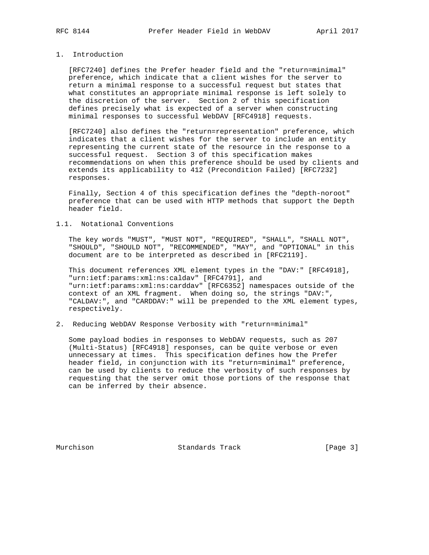# 1. Introduction

 [RFC7240] defines the Prefer header field and the "return=minimal" preference, which indicate that a client wishes for the server to return a minimal response to a successful request but states that what constitutes an appropriate minimal response is left solely to the discretion of the server. Section 2 of this specification defines precisely what is expected of a server when constructing minimal responses to successful WebDAV [RFC4918] requests.

 [RFC7240] also defines the "return=representation" preference, which indicates that a client wishes for the server to include an entity representing the current state of the resource in the response to a successful request. Section 3 of this specification makes recommendations on when this preference should be used by clients and extends its applicability to 412 (Precondition Failed) [RFC7232] responses.

 Finally, Section 4 of this specification defines the "depth-noroot" preference that can be used with HTTP methods that support the Depth header field.

#### 1.1. Notational Conventions

 The key words "MUST", "MUST NOT", "REQUIRED", "SHALL", "SHALL NOT", "SHOULD", "SHOULD NOT", "RECOMMENDED", "MAY", and "OPTIONAL" in this document are to be interpreted as described in [RFC2119].

 This document references XML element types in the "DAV:" [RFC4918], "urn:ietf:params:xml:ns:caldav" [RFC4791], and "urn:ietf:params:xml:ns:carddav" [RFC6352] namespaces outside of the context of an XML fragment. When doing so, the strings "DAV:", "CALDAV:", and "CARDDAV:" will be prepended to the XML element types, respectively.

2. Reducing WebDAV Response Verbosity with "return=minimal"

 Some payload bodies in responses to WebDAV requests, such as 207 (Multi-Status) [RFC4918] responses, can be quite verbose or even unnecessary at times. This specification defines how the Prefer header field, in conjunction with its "return=minimal" preference, can be used by clients to reduce the verbosity of such responses by requesting that the server omit those portions of the response that can be inferred by their absence.

Murchison Standards Track [Page 3]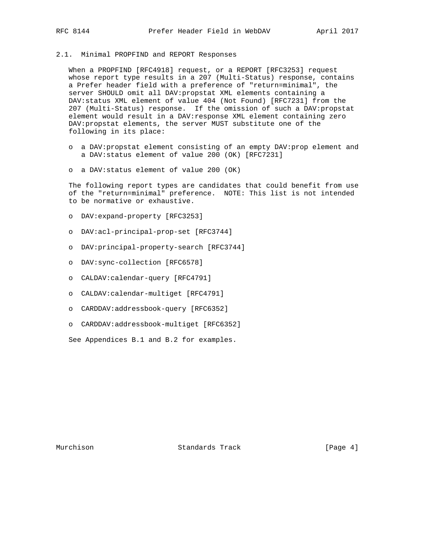### 2.1. Minimal PROPFIND and REPORT Responses

 When a PROPFIND [RFC4918] request, or a REPORT [RFC3253] request whose report type results in a 207 (Multi-Status) response, contains a Prefer header field with a preference of "return=minimal", the server SHOULD omit all DAV:propstat XML elements containing a DAV:status XML element of value 404 (Not Found) [RFC7231] from the 207 (Multi-Status) response. If the omission of such a DAV:propstat element would result in a DAV: response XML element containing zero DAV:propstat elements, the server MUST substitute one of the following in its place:

- o a DAV:propstat element consisting of an empty DAV:prop element and a DAV:status element of value 200 (OK) [RFC7231]
- o a DAV:status element of value 200 (OK)

 The following report types are candidates that could benefit from use of the "return=minimal" preference. NOTE: This list is not intended to be normative or exhaustive.

- o DAV:expand-property [RFC3253]
- o DAV:acl-principal-prop-set [RFC3744]
- o DAV:principal-property-search [RFC3744]
- o DAV:sync-collection [RFC6578]
- o CALDAV:calendar-query [RFC4791]
- o CALDAV:calendar-multiget [RFC4791]
- o CARDDAV:addressbook-query [RFC6352]
- o CARDDAV:addressbook-multiget [RFC6352]

See Appendices B.1 and B.2 for examples.

Murchison Standards Track [Page 4]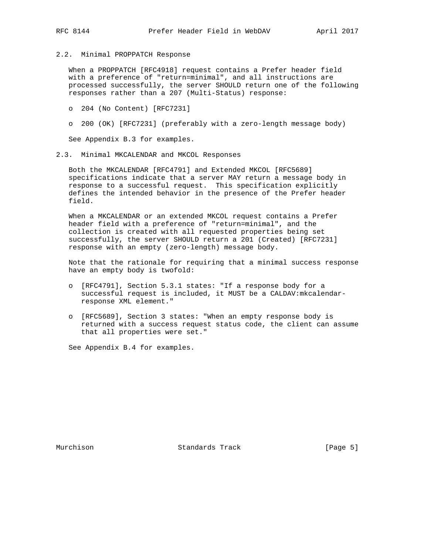2.2. Minimal PROPPATCH Response

 When a PROPPATCH [RFC4918] request contains a Prefer header field with a preference of "return=minimal", and all instructions are processed successfully, the server SHOULD return one of the following responses rather than a 207 (Multi-Status) response:

- o 204 (No Content) [RFC7231]
- o 200 (OK) [RFC7231] (preferably with a zero-length message body)

See Appendix B.3 for examples.

2.3. Minimal MKCALENDAR and MKCOL Responses

 Both the MKCALENDAR [RFC4791] and Extended MKCOL [RFC5689] specifications indicate that a server MAY return a message body in response to a successful request. This specification explicitly defines the intended behavior in the presence of the Prefer header field.

 When a MKCALENDAR or an extended MKCOL request contains a Prefer header field with a preference of "return=minimal", and the collection is created with all requested properties being set successfully, the server SHOULD return a 201 (Created) [RFC7231] response with an empty (zero-length) message body.

 Note that the rationale for requiring that a minimal success response have an empty body is twofold:

- o [RFC4791], Section 5.3.1 states: "If a response body for a successful request is included, it MUST be a CALDAV:mkcalendar response XML element."
- o [RFC5689], Section 3 states: "When an empty response body is returned with a success request status code, the client can assume that all properties were set."

See Appendix B.4 for examples.

Murchison Standards Track [Page 5]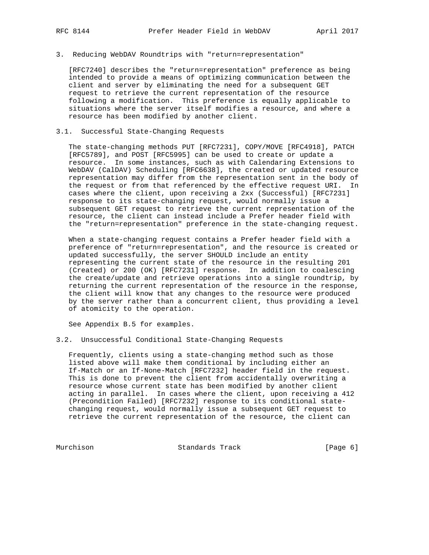#### 3. Reducing WebDAV Roundtrips with "return=representation"

 [RFC7240] describes the "return=representation" preference as being intended to provide a means of optimizing communication between the client and server by eliminating the need for a subsequent GET request to retrieve the current representation of the resource following a modification. This preference is equally applicable to situations where the server itself modifies a resource, and where a resource has been modified by another client.

#### 3.1. Successful State-Changing Requests

 The state-changing methods PUT [RFC7231], COPY/MOVE [RFC4918], PATCH [RFC5789], and POST [RFC5995] can be used to create or update a resource. In some instances, such as with Calendaring Extensions to WebDAV (CalDAV) Scheduling [RFC6638], the created or updated resource representation may differ from the representation sent in the body of the request or from that referenced by the effective request URI. In cases where the client, upon receiving a 2xx (Successful) [RFC7231] response to its state-changing request, would normally issue a subsequent GET request to retrieve the current representation of the resource, the client can instead include a Prefer header field with the "return=representation" preference in the state-changing request.

 When a state-changing request contains a Prefer header field with a preference of "return=representation", and the resource is created or updated successfully, the server SHOULD include an entity representing the current state of the resource in the resulting 201 (Created) or 200 (OK) [RFC7231] response. In addition to coalescing the create/update and retrieve operations into a single roundtrip, by returning the current representation of the resource in the response, the client will know that any changes to the resource were produced by the server rather than a concurrent client, thus providing a level of atomicity to the operation.

See Appendix B.5 for examples.

#### 3.2. Unsuccessful Conditional State-Changing Requests

 Frequently, clients using a state-changing method such as those listed above will make them conditional by including either an If-Match or an If-None-Match [RFC7232] header field in the request. This is done to prevent the client from accidentally overwriting a resource whose current state has been modified by another client acting in parallel. In cases where the client, upon receiving a 412 (Precondition Failed) [RFC7232] response to its conditional state changing request, would normally issue a subsequent GET request to retrieve the current representation of the resource, the client can

Murchison Standards Track [Page 6]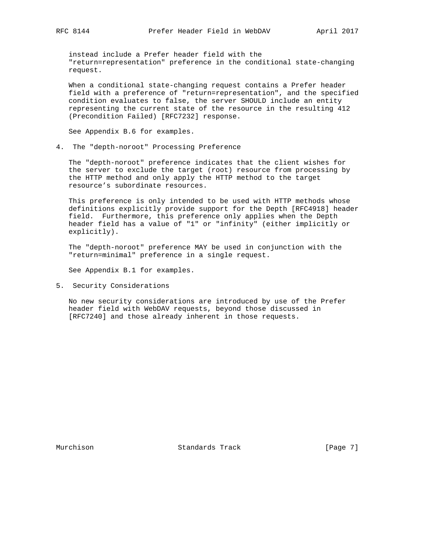instead include a Prefer header field with the "return=representation" preference in the conditional state-changing request.

 When a conditional state-changing request contains a Prefer header field with a preference of "return=representation", and the specified condition evaluates to false, the server SHOULD include an entity representing the current state of the resource in the resulting 412 (Precondition Failed) [RFC7232] response.

See Appendix B.6 for examples.

4. The "depth-noroot" Processing Preference

 The "depth-noroot" preference indicates that the client wishes for the server to exclude the target (root) resource from processing by the HTTP method and only apply the HTTP method to the target resource's subordinate resources.

 This preference is only intended to be used with HTTP methods whose definitions explicitly provide support for the Depth [RFC4918] header field. Furthermore, this preference only applies when the Depth header field has a value of "1" or "infinity" (either implicitly or explicitly).

 The "depth-noroot" preference MAY be used in conjunction with the "return=minimal" preference in a single request.

See Appendix B.1 for examples.

5. Security Considerations

 No new security considerations are introduced by use of the Prefer header field with WebDAV requests, beyond those discussed in [RFC7240] and those already inherent in those requests.

Murchison Standards Track [Page 7]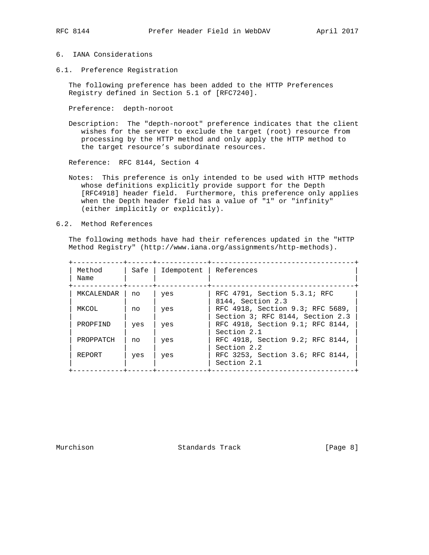# 6. IANA Considerations

6.1. Preference Registration

 The following preference has been added to the HTTP Preferences Registry defined in Section 5.1 of [RFC7240].

Preference: depth-noroot

 Description: The "depth-noroot" preference indicates that the client wishes for the server to exclude the target (root) resource from processing by the HTTP method and only apply the HTTP method to the target resource's subordinate resources.

Reference: RFC 8144, Section 4

- Notes: This preference is only intended to be used with HTTP methods whose definitions explicitly provide support for the Depth [RFC4918] header field. Furthermore, this preference only applies when the Depth header field has a value of "1" or "infinity" (either implicitly or explicitly).
- 6.2. Method References

 The following methods have had their references updated in the "HTTP Method Registry" (http://www.iana.org/assignments/http-methods).

| Method<br>Name | Safe | Idempotent | References                                                           |
|----------------|------|------------|----------------------------------------------------------------------|
| MKCALENDAR     | no   | yes        | RFC 4791, Section 5.3.1; RFC<br>8144, Section 2.3                    |
| MKCOL          | no   | yes        | RFC 4918, Section 9.3; RFC 5689,<br>Section 3; RFC 8144, Section 2.3 |
| PROPFIND       | yes  | yes        | RFC 4918, Section 9.1; RFC 8144,<br>Section 2.1                      |
| PROPPATCH      | no   | yes        | RFC 4918, Section 9.2; RFC 8144,<br>Section 2.2                      |
| REPORT         | yes  | yes        | RFC 3253, Section 3.6; RFC 8144,<br>Section 2.1                      |

Murchison Standards Track [Page 8]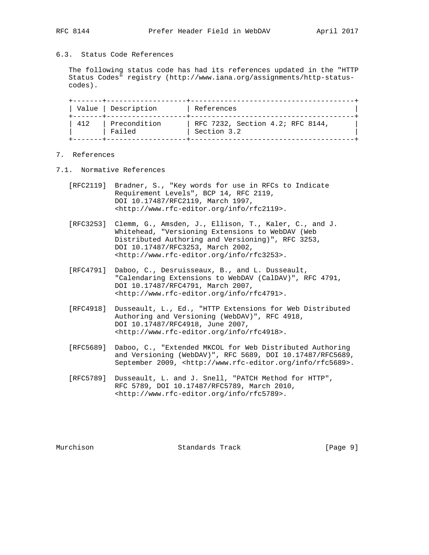# 6.3. Status Code References

 The following status code has had its references updated in the "HTTP Status Codes" registry (http://www.iana.org/assignments/http-status codes).

|     | Value   Description    | References                                      |
|-----|------------------------|-------------------------------------------------|
| 412 | Precondition<br>Failed | RFC 7232, Section 4.2; RFC 8144,<br>Section 3.2 |

# 7. References

- 7.1. Normative References
	- [RFC2119] Bradner, S., "Key words for use in RFCs to Indicate Requirement Levels", BCP 14, RFC 2119, DOI 10.17487/RFC2119, March 1997, <http://www.rfc-editor.org/info/rfc2119>.
	- [RFC3253] Clemm, G., Amsden, J., Ellison, T., Kaler, C., and J. Whitehead, "Versioning Extensions to WebDAV (Web Distributed Authoring and Versioning)", RFC 3253, DOI 10.17487/RFC3253, March 2002, <http://www.rfc-editor.org/info/rfc3253>.
	- [RFC4791] Daboo, C., Desruisseaux, B., and L. Dusseault, "Calendaring Extensions to WebDAV (CalDAV)", RFC 4791, DOI 10.17487/RFC4791, March 2007, <http://www.rfc-editor.org/info/rfc4791>.
	- [RFC4918] Dusseault, L., Ed., "HTTP Extensions for Web Distributed Authoring and Versioning (WebDAV)", RFC 4918, DOI 10.17487/RFC4918, June 2007, <http://www.rfc-editor.org/info/rfc4918>.
	- [RFC5689] Daboo, C., "Extended MKCOL for Web Distributed Authoring and Versioning (WebDAV)", RFC 5689, DOI 10.17487/RFC5689, September 2009, <http://www.rfc-editor.org/info/rfc5689>.
	- [RFC5789] Dusseault, L. and J. Snell, "PATCH Method for HTTP", RFC 5789, DOI 10.17487/RFC5789, March 2010, <http://www.rfc-editor.org/info/rfc5789>.

Murchison Standards Track [Page 9]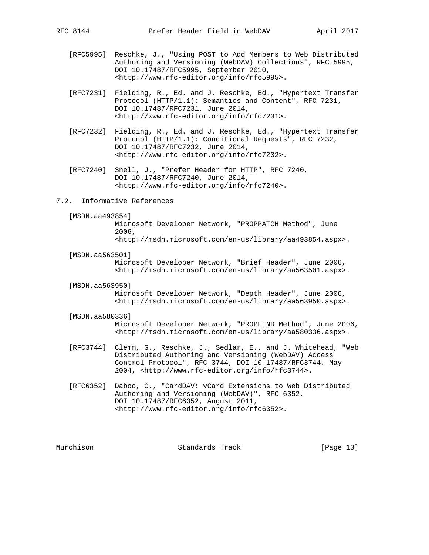- [RFC5995] Reschke, J., "Using POST to Add Members to Web Distributed Authoring and Versioning (WebDAV) Collections", RFC 5995, DOI 10.17487/RFC5995, September 2010, <http://www.rfc-editor.org/info/rfc5995>.
- [RFC7231] Fielding, R., Ed. and J. Reschke, Ed., "Hypertext Transfer Protocol (HTTP/1.1): Semantics and Content", RFC 7231, DOI 10.17487/RFC7231, June 2014, <http://www.rfc-editor.org/info/rfc7231>.
- [RFC7232] Fielding, R., Ed. and J. Reschke, Ed., "Hypertext Transfer Protocol (HTTP/1.1): Conditional Requests", RFC 7232, DOI 10.17487/RFC7232, June 2014, <http://www.rfc-editor.org/info/rfc7232>.
- [RFC7240] Snell, J., "Prefer Header for HTTP", RFC 7240, DOI 10.17487/RFC7240, June 2014, <http://www.rfc-editor.org/info/rfc7240>.
- 7.2. Informative References

```
 [MSDN.aa493854]
```
 Microsoft Developer Network, "PROPPATCH Method", June 2006, <http://msdn.microsoft.com/en-us/library/aa493854.aspx>.

- [MSDN.aa563501] Microsoft Developer Network, "Brief Header", June 2006, <http://msdn.microsoft.com/en-us/library/aa563501.aspx>.
- [MSDN.aa563950]

 Microsoft Developer Network, "Depth Header", June 2006, <http://msdn.microsoft.com/en-us/library/aa563950.aspx>.

[MSDN.aa580336]

 Microsoft Developer Network, "PROPFIND Method", June 2006, <http://msdn.microsoft.com/en-us/library/aa580336.aspx>.

- [RFC3744] Clemm, G., Reschke, J., Sedlar, E., and J. Whitehead, "Web Distributed Authoring and Versioning (WebDAV) Access Control Protocol", RFC 3744, DOI 10.17487/RFC3744, May 2004, <http://www.rfc-editor.org/info/rfc3744>.
- [RFC6352] Daboo, C., "CardDAV: vCard Extensions to Web Distributed Authoring and Versioning (WebDAV)", RFC 6352, DOI 10.17487/RFC6352, August 2011, <http://www.rfc-editor.org/info/rfc6352>.

Murchison Standards Track [Page 10]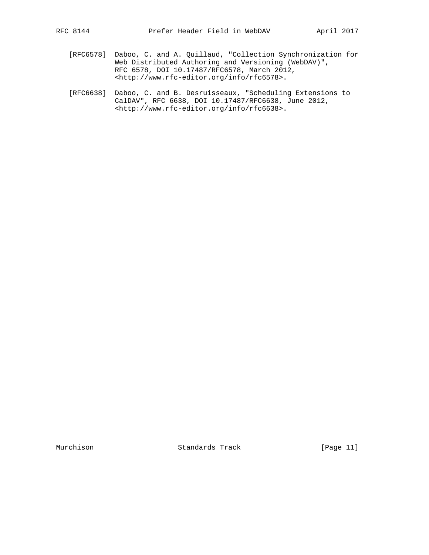- [RFC6578] Daboo, C. and A. Quillaud, "Collection Synchronization for Web Distributed Authoring and Versioning (WebDAV)", RFC 6578, DOI 10.17487/RFC6578, March 2012, <http://www.rfc-editor.org/info/rfc6578>.
- [RFC6638] Daboo, C. and B. Desruisseaux, "Scheduling Extensions to CalDAV", RFC 6638, DOI 10.17487/RFC6638, June 2012, <http://www.rfc-editor.org/info/rfc6638>.

Murchison Standards Track [Page 11]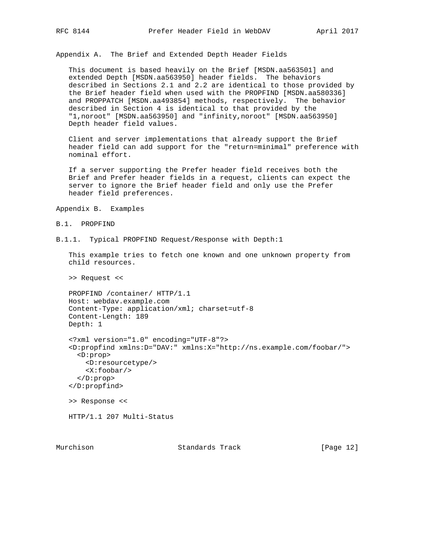Appendix A. The Brief and Extended Depth Header Fields

 This document is based heavily on the Brief [MSDN.aa563501] and extended Depth [MSDN.aa563950] header fields. The behaviors described in Sections 2.1 and 2.2 are identical to those provided by the Brief header field when used with the PROPFIND [MSDN.aa580336] and PROPPATCH [MSDN.aa493854] methods, respectively. The behavior described in Section 4 is identical to that provided by the "1,noroot" [MSDN.aa563950] and "infinity,noroot" [MSDN.aa563950] Depth header field values.

 Client and server implementations that already support the Brief header field can add support for the "return=minimal" preference with nominal effort.

 If a server supporting the Prefer header field receives both the Brief and Prefer header fields in a request, clients can expect the server to ignore the Brief header field and only use the Prefer header field preferences.

Appendix B. Examples

```
B.1. PROPFIND
```
B.1.1. Typical PROPFIND Request/Response with Depth:1

 This example tries to fetch one known and one unknown property from child resources.

>> Request <<

 PROPFIND /container/ HTTP/1.1 Host: webdav.example.com Content-Type: application/xml; charset=utf-8 Content-Length: 189 Depth: 1

```
 <?xml version="1.0" encoding="UTF-8"?>
 <D:propfind xmlns:D="DAV:" xmlns:X="http://ns.example.com/foobar/">
  <D:prop>
     <D:resourcetype/>
     <X:foobar/>
   </D:prop>
 </D:propfind>
 >> Response <<
```
HTTP/1.1 207 Multi-Status

Murchison Standards Track [Page 12]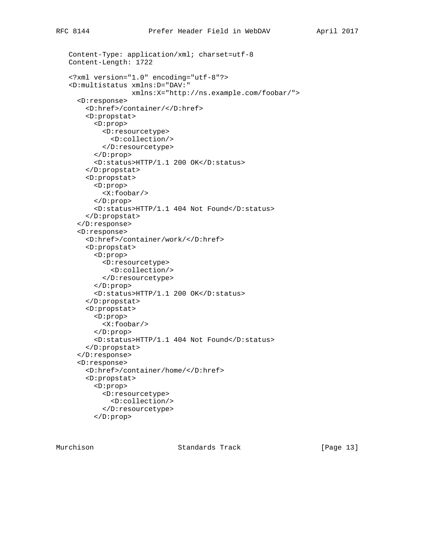```
 Content-Type: application/xml; charset=utf-8
 Content-Length: 1722
 <?xml version="1.0" encoding="utf-8"?>
 <D:multistatus xmlns:D="DAV:"
                xmlns:X="http://ns.example.com/foobar/">
   <D:response>
     <D:href>/container/</D:href>
     <D:propstat>
       <D:prop>
         <D:resourcetype>
           <D:collection/>
         </D:resourcetype>
       </D:prop>
       <D:status>HTTP/1.1 200 OK</D:status>
     </D:propstat>
     <D:propstat>
       <D:prop>
         <X:foobar/>
       </D:prop>
       <D:status>HTTP/1.1 404 Not Found</D:status>
     </D:propstat>
   </D:response>
   <D:response>
     <D:href>/container/work/</D:href>
     <D:propstat>
       <D:prop>
         <D:resourcetype>
           <D:collection/>
         </D:resourcetype>
       </D:prop>
       <D:status>HTTP/1.1 200 OK</D:status>
     </D:propstat>
     <D:propstat>
       <D:prop>
         <X:foobar/>
       </D:prop>
       <D:status>HTTP/1.1 404 Not Found</D:status>
     </D:propstat>
   </D:response>
   <D:response>
     <D:href>/container/home/</D:href>
     <D:propstat>
       <D:prop>
         <D:resourcetype>
           <D:collection/>
         </D:resourcetype>
       </D:prop>
```
Murchison Standards Track [Page 13]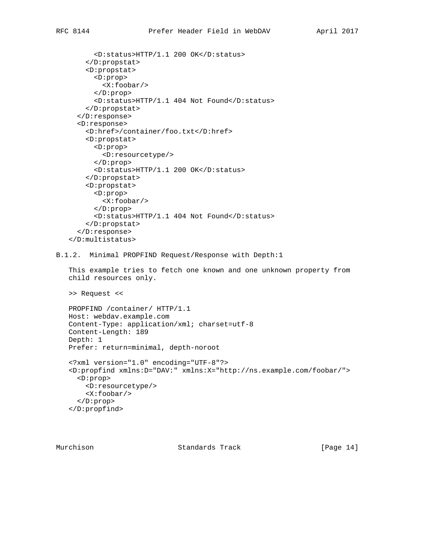```
 <D:status>HTTP/1.1 200 OK</D:status>
     </D:propstat>
     <D:propstat>
       <D:prop>
         <X:foobar/>
       </D:prop>
       <D:status>HTTP/1.1 404 Not Found</D:status>
     </D:propstat>
   </D:response>
   <D:response>
     <D:href>/container/foo.txt</D:href>
     <D:propstat>
       <D:prop>
         <D:resourcetype/>
       </D:prop>
       <D:status>HTTP/1.1 200 OK</D:status>
     </D:propstat>
     <D:propstat>
       <D:prop>
         <X:foobar/>
       </D:prop>
       <D:status>HTTP/1.1 404 Not Found</D:status>
     </D:propstat>
   </D:response>
 </D:multistatus>
```
#### B.1.2. Minimal PROPFIND Request/Response with Depth:1

 This example tries to fetch one known and one unknown property from child resources only.

>> Request <<

```
 PROPFIND /container/ HTTP/1.1
 Host: webdav.example.com
 Content-Type: application/xml; charset=utf-8
 Content-Length: 189
 Depth: 1
 Prefer: return=minimal, depth-noroot
 <?xml version="1.0" encoding="UTF-8"?>
 <D:propfind xmlns:D="DAV:" xmlns:X="http://ns.example.com/foobar/">
  <D:prop>
     <D:resourcetype/>
     <X:foobar/>
   </D:prop>
 </D:propfind>
```
Murchison Standards Track [Page 14]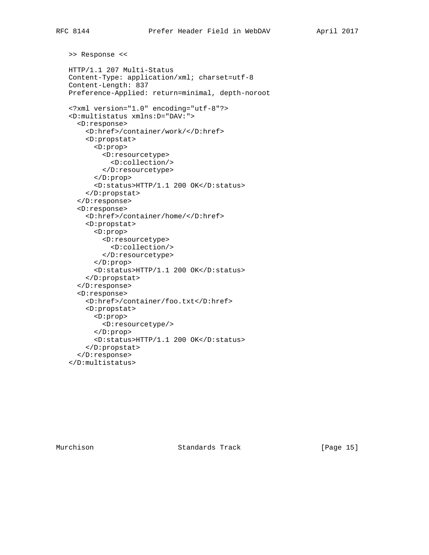```
 >> Response <<
 HTTP/1.1 207 Multi-Status
 Content-Type: application/xml; charset=utf-8
 Content-Length: 837
 Preference-Applied: return=minimal, depth-noroot
 <?xml version="1.0" encoding="utf-8"?>
 <D:multistatus xmlns:D="DAV:">
   <D:response>
     <D:href>/container/work/</D:href>
     <D:propstat>
       <D:prop>
         <D:resourcetype>
           <D:collection/>
         </D:resourcetype>
       </D:prop>
       <D:status>HTTP/1.1 200 OK</D:status>
     </D:propstat>
   </D:response>
   <D:response>
     <D:href>/container/home/</D:href>
     <D:propstat>
       <D:prop>
         <D:resourcetype>
           <D:collection/>
         </D:resourcetype>
       </D:prop>
       <D:status>HTTP/1.1 200 OK</D:status>
     </D:propstat>
   </D:response>
   <D:response>
     <D:href>/container/foo.txt</D:href>
     <D:propstat>
       <D:prop>
         <D:resourcetype/>
       </D:prop>
       <D:status>HTTP/1.1 200 OK</D:status>
     </D:propstat>
   </D:response>
 </D:multistatus>
```
Murchison Standards Track [Page 15]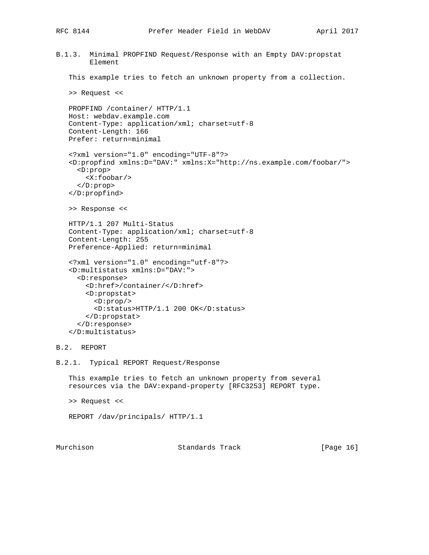```
B.1.3. Minimal PROPFIND Request/Response with an Empty DAV:propstat
         Element
    This example tries to fetch an unknown property from a collection.
    >> Request <<
    PROPFIND /container/ HTTP/1.1
    Host: webdav.example.com
    Content-Type: application/xml; charset=utf-8
    Content-Length: 166
    Prefer: return=minimal
    <?xml version="1.0" encoding="UTF-8"?>
    <D:propfind xmlns:D="DAV:" xmlns:X="http://ns.example.com/foobar/">
     <D:prop>
        <X:foobar/>
      </D:prop>
    </D:propfind>
    >> Response <<
    HTTP/1.1 207 Multi-Status
    Content-Type: application/xml; charset=utf-8
    Content-Length: 255
    Preference-Applied: return=minimal
    <?xml version="1.0" encoding="utf-8"?>
    <D:multistatus xmlns:D="DAV:">
      <D:response>
        <D:href>/container/</D:href>
        <D:propstat>
          <D:prop/>
          <D:status>HTTP/1.1 200 OK</D:status>
        </D:propstat>
      </D:response>
    </D:multistatus>
B.2. REPORT
B.2.1. Typical REPORT Request/Response
    This example tries to fetch an unknown property from several
    resources via the DAV:expand-property [RFC3253] REPORT type.
    >> Request <<
    REPORT /dav/principals/ HTTP/1.1
```
Murchison Standards Track [Page 16]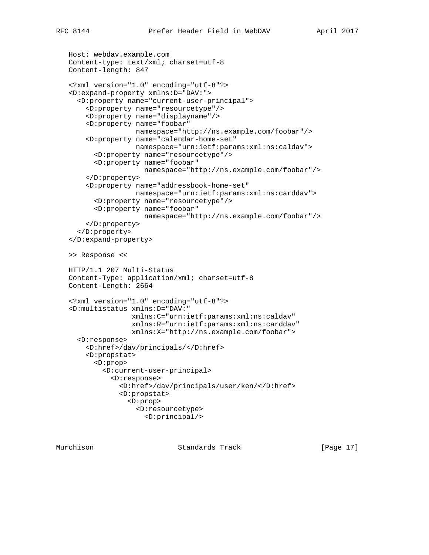```
 Host: webdav.example.com
 Content-type: text/xml; charset=utf-8
 Content-length: 847
 <?xml version="1.0" encoding="utf-8"?>
 <D:expand-property xmlns:D="DAV:">
   <D:property name="current-user-principal">
     <D:property name="resourcetype"/>
     <D:property name="displayname"/>
     <D:property name="foobar"
                 namespace="http://ns.example.com/foobar"/>
     <D:property name="calendar-home-set"
                 namespace="urn:ietf:params:xml:ns:caldav">
       <D:property name="resourcetype"/>
       <D:property name="foobar"
                   namespace="http://ns.example.com/foobar"/>
     </D:property>
     <D:property name="addressbook-home-set"
                 namespace="urn:ietf:params:xml:ns:carddav">
       <D:property name="resourcetype"/>
       <D:property name="foobar"
                   namespace="http://ns.example.com/foobar"/>
     </D:property>
   </D:property>
 </D:expand-property>
 >> Response <<
 HTTP/1.1 207 Multi-Status
 Content-Type: application/xml; charset=utf-8
 Content-Length: 2664
 <?xml version="1.0" encoding="utf-8"?>
 <D:multistatus xmlns:D="DAV:"
                xmlns:C="urn:ietf:params:xml:ns:caldav"
                xmlns:R="urn:ietf:params:xml:ns:carddav"
                xmlns:X="http://ns.example.com/foobar">
   <D:response>
     <D:href>/dav/principals/</D:href>
     <D:propstat>
       <D:prop>
         <D:current-user-principal>
           <D:response>
             <D:href>/dav/principals/user/ken/</D:href>
             <D:propstat>
                <D:prop>
                  <D:resourcetype>
                    <D:principal/>
```
Murchison Standards Track [Page 17]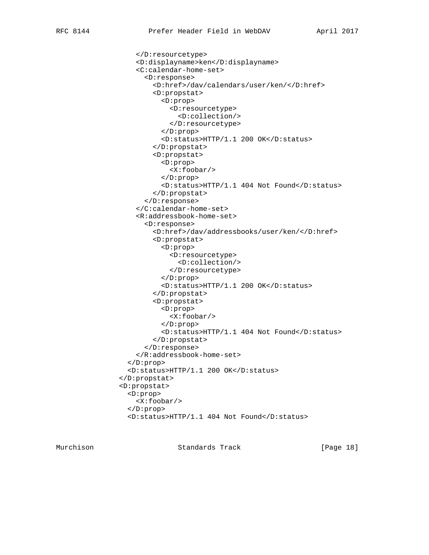```
 </D:resourcetype>
     <D:displayname>ken</D:displayname>
     <C:calendar-home-set>
       <D:response>
         <D:href>/dav/calendars/user/ken/</D:href>
         <D:propstat>
            <D:prop>
             <D:resourcetype>
                <D:collection/>
             </D:resourcetype>
           </D:prop>
            <D:status>HTTP/1.1 200 OK</D:status>
         </D:propstat>
         <D:propstat>
           <D:prop>
             <X:foobar/>
           </D:prop>
            <D:status>HTTP/1.1 404 Not Found</D:status>
         </D:propstat>
       </D:response>
     </C:calendar-home-set>
     <R:addressbook-home-set>
       <D:response>
         <D:href>/dav/addressbooks/user/ken/</D:href>
         <D:propstat>
            <D:prop>
             <D:resourcetype>
                <D:collection/>
             </D:resourcetype>
            </D:prop>
           <D:status>HTTP/1.1 200 OK</D:status>
         </D:propstat>
         <D:propstat>
           <D:prop>
              <X:foobar/>
           </D:prop>
           <D:status>HTTP/1.1 404 Not Found</D:status>
         </D:propstat>
       </D:response>
     </R:addressbook-home-set>
   </D:prop>
   <D:status>HTTP/1.1 200 OK</D:status>
 </D:propstat>
 <D:propstat>
   <D:prop>
     <X:foobar/>
   </D:prop>
   <D:status>HTTP/1.1 404 Not Found</D:status>
```
Murchison Standards Track [Page 18]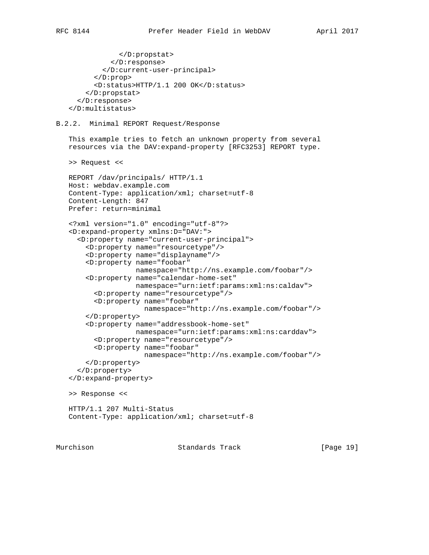```
 </D:propstat>
            </D:response>
         </D:current-user-principal>
       </D:prop>
       <D:status>HTTP/1.1 200 OK</D:status>
     </D:propstat>
   </D:response>
 </D:multistatus>
```
### B.2.2. Minimal REPORT Request/Response

 This example tries to fetch an unknown property from several resources via the DAV:expand-property [RFC3253] REPORT type.

```
 >> Request <<
```

```
 REPORT /dav/principals/ HTTP/1.1
 Host: webdav.example.com
 Content-Type: application/xml; charset=utf-8
 Content-Length: 847
 Prefer: return=minimal
 <?xml version="1.0" encoding="utf-8"?>
 <D:expand-property xmlns:D="DAV:">
   <D:property name="current-user-principal">
     <D:property name="resourcetype"/>
     <D:property name="displayname"/>
     <D:property name="foobar"
                 namespace="http://ns.example.com/foobar"/>
     <D:property name="calendar-home-set"
                 namespace="urn:ietf:params:xml:ns:caldav">
       <D:property name="resourcetype"/>
       <D:property name="foobar"
                   namespace="http://ns.example.com/foobar"/>
     </D:property>
     <D:property name="addressbook-home-set"
                 namespace="urn:ietf:params:xml:ns:carddav">
       <D:property name="resourcetype"/>
       <D:property name="foobar"
                   namespace="http://ns.example.com/foobar"/>
     </D:property>
   </D:property>
 </D:expand-property>
 >> Response <<
 HTTP/1.1 207 Multi-Status
 Content-Type: application/xml; charset=utf-8
```
Murchison Standards Track [Page 19]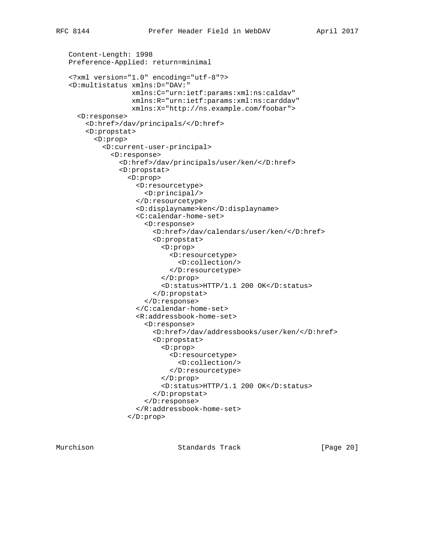```
 Content-Length: 1998
 Preference-Applied: return=minimal
 <?xml version="1.0" encoding="utf-8"?>
 <D:multistatus xmlns:D="DAV:"
                xmlns:C="urn:ietf:params:xml:ns:caldav"
                xmlns:R="urn:ietf:params:xml:ns:carddav"
                xmlns:X="http://ns.example.com/foobar">
   <D:response>
     <D:href>/dav/principals/</D:href>
     <D:propstat>
       <D:prop>
         <D:current-user-principal>
           <D:response>
             <D:href>/dav/principals/user/ken/</D:href>
             <D:propstat>
                <D:prop>
                  <D:resourcetype>
                    <D:principal/>
                  </D:resourcetype>
                  <D:displayname>ken</D:displayname>
                  <C:calendar-home-set>
                    <D:response>
                      <D:href>/dav/calendars/user/ken/</D:href>
                      <D:propstat>
                        <D:prop>
                          <D:resourcetype>
                            <D:collection/>
                          </D:resourcetype>
                        </D:prop>
                        <D:status>HTTP/1.1 200 OK</D:status>
                      </D:propstat>
                    </D:response>
                  </C:calendar-home-set>
                  <R:addressbook-home-set>
                    <D:response>
                      <D:href>/dav/addressbooks/user/ken/</D:href>
                      <D:propstat>
                        <D:prop>
                          <D:resourcetype>
                            <D:collection/>
                          </D:resourcetype>
                        </D:prop>
                        <D:status>HTTP/1.1 200 OK</D:status>
                      </D:propstat>
                    </D:response>
                  </R:addressbook-home-set>
                </D:prop>
```
Murchison Standards Track [Page 20]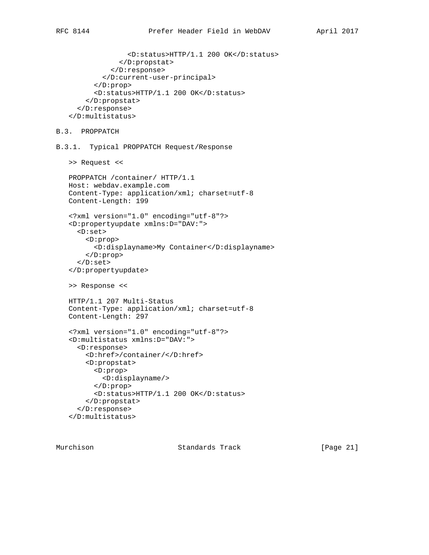```
 <D:status>HTTP/1.1 200 OK</D:status>
              </D:propstat>
           </D:response>
         </D:current-user-principal>
       </D:prop>
       <D:status>HTTP/1.1 200 OK</D:status>
     </D:propstat>
   </D:response>
 </D:multistatus>
```

```
B.3. PROPPATCH
```
B.3.1. Typical PROPPATCH Request/Response

```
 >> Request <<
```

```
 PROPPATCH /container/ HTTP/1.1
 Host: webdav.example.com
 Content-Type: application/xml; charset=utf-8
 Content-Length: 199
 <?xml version="1.0" encoding="utf-8"?>
 <D:propertyupdate xmlns:D="DAV:">
   <D:set>
     <D:prop>
       <D:displayname>My Container</D:displayname>
     </D:prop>
   </D:set>
 </D:propertyupdate>
 >> Response <<
 HTTP/1.1 207 Multi-Status
 Content-Type: application/xml; charset=utf-8
 Content-Length: 297
 <?xml version="1.0" encoding="utf-8"?>
 <D:multistatus xmlns:D="DAV:">
   <D:response>
     <D:href>/container/</D:href>
     <D:propstat>
       <D:prop>
         <D:displayname/>
       </D:prop>
       <D:status>HTTP/1.1 200 OK</D:status>
     </D:propstat>
   </D:response>
```

```
 </D:multistatus>
```
Murchison Standards Track [Page 21]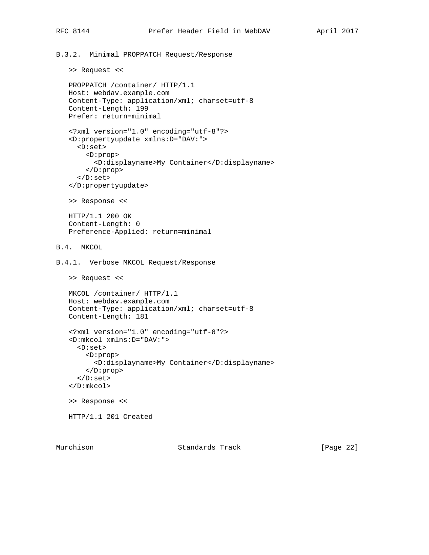```
B.3.2. Minimal PROPPATCH Request/Response
```

```
 >> Request <<
```

```
 PROPPATCH /container/ HTTP/1.1
    Host: webdav.example.com
    Content-Type: application/xml; charset=utf-8
    Content-Length: 199
    Prefer: return=minimal
    <?xml version="1.0" encoding="utf-8"?>
    <D:propertyupdate xmlns:D="DAV:">
      <D:set>
        <D:prop>
          <D:displayname>My Container</D:displayname>
        </D:prop>
      </D:set>
    </D:propertyupdate>
    >> Response <<
    HTTP/1.1 200 OK
    Content-Length: 0
    Preference-Applied: return=minimal
B.4. MKCOL
B.4.1. Verbose MKCOL Request/Response
    >> Request <<
    MKCOL /container/ HTTP/1.1
    Host: webdav.example.com
    Content-Type: application/xml; charset=utf-8
    Content-Length: 181
    <?xml version="1.0" encoding="utf-8"?>
    <D:mkcol xmlns:D="DAV:">
      <D:set>
        <D:prop>
          <D:displayname>My Container</D:displayname>
        </D:prop>
      </D:set>
    </D:mkcol>
    >> Response <<
    HTTP/1.1 201 Created
```
Murchison Standards Track [Page 22]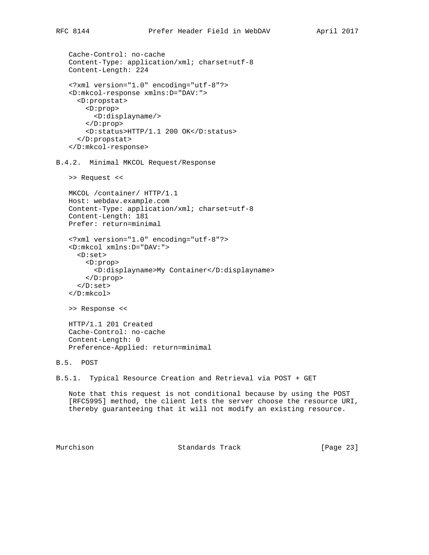```
 Cache-Control: no-cache
 Content-Type: application/xml; charset=utf-8
 Content-Length: 224
 <?xml version="1.0" encoding="utf-8"?>
 <D:mkcol-response xmlns:D="DAV:">
   <D:propstat>
     <D:prop>
       <D:displayname/>
     </D:prop>
     <D:status>HTTP/1.1 200 OK</D:status>
   </D:propstat>
 </D:mkcol-response>
```
B.4.2. Minimal MKCOL Request/Response

```
 >> Request <<
```

```
 MKCOL /container/ HTTP/1.1
 Host: webdav.example.com
 Content-Type: application/xml; charset=utf-8
 Content-Length: 181
 Prefer: return=minimal
```

```
 <?xml version="1.0" encoding="utf-8"?>
 <D:mkcol xmlns:D="DAV:">
   <D:set>
     <D:prop>
       <D:displayname>My Container</D:displayname>
     </D:prop>
   </D:set>
 </D:mkcol>
```

```
 >> Response <<
```

```
 HTTP/1.1 201 Created
 Cache-Control: no-cache
 Content-Length: 0
 Preference-Applied: return=minimal
```

```
B.5. POST
```

```
B.5.1. Typical Resource Creation and Retrieval via POST + GET
```
 Note that this request is not conditional because by using the POST [RFC5995] method, the client lets the server choose the resource URI, thereby guaranteeing that it will not modify an existing resource.

Murchison Standards Track [Page 23]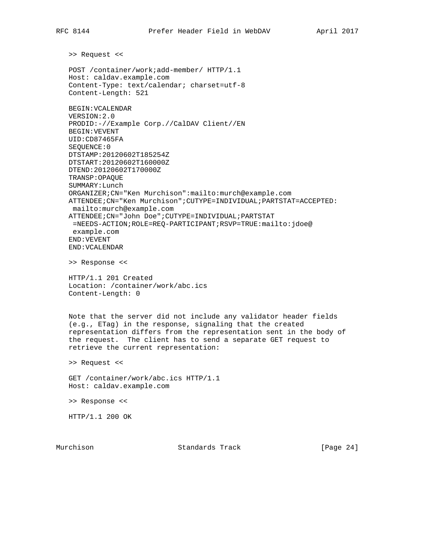>> Request <<

 POST /container/work;add-member/ HTTP/1.1 Host: caldav.example.com Content-Type: text/calendar; charset=utf-8 Content-Length: 521

```
 BEGIN:VCALENDAR
 VERSION:2.0
 PRODID:-//Example Corp.//CalDAV Client//EN
 BEGIN:VEVENT
 UID:CD87465FA
 SEQUENCE:0
 DTSTAMP:20120602T185254Z
 DTSTART:20120602T160000Z
 DTEND:20120602T170000Z
 TRANSP:OPAQUE
 SUMMARY:Lunch
 ORGANIZER;CN="Ken Murchison":mailto:murch@example.com
 ATTENDEE;CN="Ken Murchison";CUTYPE=INDIVIDUAL;PARTSTAT=ACCEPTED:
 mailto:murch@example.com
 ATTENDEE;CN="John Doe";CUTYPE=INDIVIDUAL;PARTSTAT
 =NEEDS-ACTION;ROLE=REQ-PARTICIPANT;RSVP=TRUE:mailto:jdoe@
 example.com
 END:VEVENT
 END:VCALENDAR
```
>> Response <<

 HTTP/1.1 201 Created Location: /container/work/abc.ics Content-Length: 0

 Note that the server did not include any validator header fields (e.g., ETag) in the response, signaling that the created representation differs from the representation sent in the body of the request. The client has to send a separate GET request to retrieve the current representation:

>> Request <<

 GET /container/work/abc.ics HTTP/1.1 Host: caldav.example.com

>> Response <<

HTTP/1.1 200 OK

Murchison Standards Track [Page 24]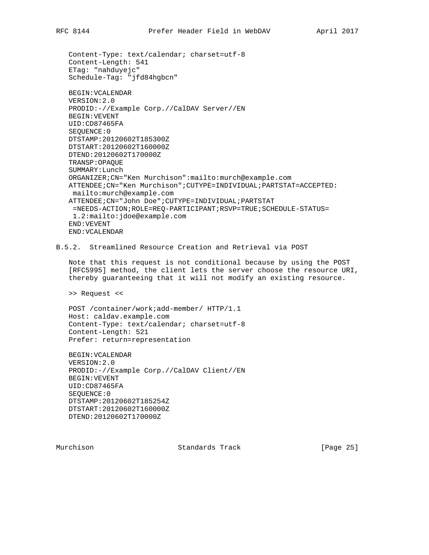```
 Content-Type: text/calendar; charset=utf-8
 Content-Length: 541
 ETag: "nahduyejc"
 Schedule-Tag: "jfd84hgbcn"
 BEGIN:VCALENDAR
 VERSION:2.0
 PRODID:-//Example Corp.//CalDAV Server//EN
 BEGIN:VEVENT
 UID:CD87465FA
 SEQUENCE:0
 DTSTAMP:20120602T185300Z
 DTSTART:20120602T160000Z
 DTEND:20120602T170000Z
 TRANSP:OPAQUE
 SUMMARY:Lunch
 ORGANIZER;CN="Ken Murchison":mailto:murch@example.com
 ATTENDEE;CN="Ken Murchison";CUTYPE=INDIVIDUAL;PARTSTAT=ACCEPTED:
 mailto:murch@example.com
 ATTENDEE;CN="John Doe";CUTYPE=INDIVIDUAL;PARTSTAT
=NEEDS-ACTION;ROLE=REQ-PARTICIPANT;RSVP=TRUE;SCHEDULE-STATUS=
 1.2:mailto:jdoe@example.com
 END:VEVENT
 END:VCALENDAR
```
B.5.2. Streamlined Resource Creation and Retrieval via POST

 Note that this request is not conditional because by using the POST [RFC5995] method, the client lets the server choose the resource URI, thereby guaranteeing that it will not modify an existing resource.

>> Request <<

 POST /container/work;add-member/ HTTP/1.1 Host: caldav.example.com Content-Type: text/calendar; charset=utf-8 Content-Length: 521 Prefer: return=representation

 BEGIN:VCALENDAR VERSION:2.0 PRODID:-//Example Corp.//CalDAV Client//EN BEGIN:VEVENT UID:CD87465FA SEQUENCE:0 DTSTAMP:20120602T185254Z DTSTART:20120602T160000Z DTEND:20120602T170000Z

Murchison Standards Track [Page 25]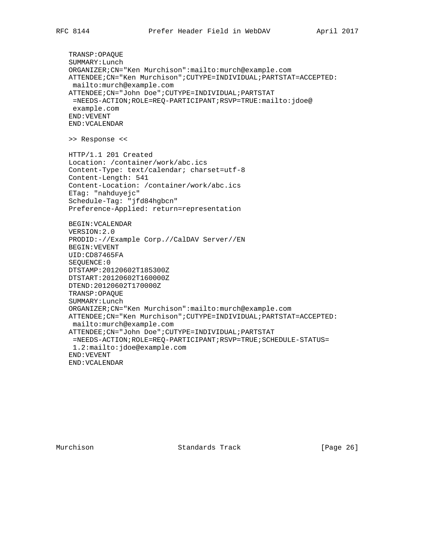TRANSP:OPAQUE SUMMARY:Lunch ORGANIZER;CN="Ken Murchison":mailto:murch@example.com ATTENDEE;CN="Ken Murchison";CUTYPE=INDIVIDUAL;PARTSTAT=ACCEPTED: mailto:murch@example.com ATTENDEE;CN="John Doe";CUTYPE=INDIVIDUAL;PARTSTAT =NEEDS-ACTION;ROLE=REQ-PARTICIPANT;RSVP=TRUE:mailto:jdoe@ example.com END:VEVENT END:VCALENDAR >> Response << HTTP/1.1 201 Created Location: /container/work/abc.ics Content-Type: text/calendar; charset=utf-8 Content-Length: 541 Content-Location: /container/work/abc.ics ETag: "nahduyejc" Schedule-Tag: "jfd84hgbcn" Preference-Applied: return=representation BEGIN:VCALENDAR VERSION:2.0 PRODID:-//Example Corp.//CalDAV Server//EN BEGIN:VEVENT UID:CD87465FA SEQUENCE:0 DTSTAMP:20120602T185300Z DTSTART:20120602T160000Z DTEND:20120602T170000Z TRANSP:OPAQUE SUMMARY:Lunch ORGANIZER;CN="Ken Murchison":mailto:murch@example.com ATTENDEE;CN="Ken Murchison";CUTYPE=INDIVIDUAL;PARTSTAT=ACCEPTED: mailto:murch@example.com ATTENDEE;CN="John Doe";CUTYPE=INDIVIDUAL;PARTSTAT =NEEDS-ACTION;ROLE=REQ-PARTICIPANT;RSVP=TRUE;SCHEDULE-STATUS= 1.2:mailto:jdoe@example.com END:VEVENT END:VCALENDAR

Murchison Standards Track [Page 26]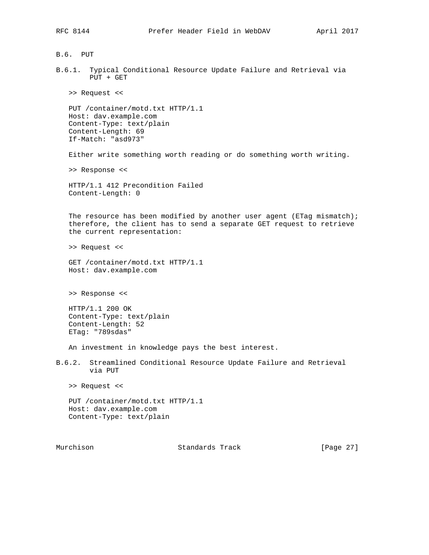B.6. PUT

B.6.1. Typical Conditional Resource Update Failure and Retrieval via PUT + GET

>> Request <<

 PUT /container/motd.txt HTTP/1.1 Host: dav.example.com Content-Type: text/plain Content-Length: 69 If-Match: "asd973"

Either write something worth reading or do something worth writing.

>> Response <<

 HTTP/1.1 412 Precondition Failed Content-Length: 0

The resource has been modified by another user agent (ETag mismatch); therefore, the client has to send a separate GET request to retrieve the current representation:

>> Request <<

 GET /container/motd.txt HTTP/1.1 Host: dav.example.com

>> Response <<

 HTTP/1.1 200 OK Content-Type: text/plain Content-Length: 52 ETag: "789sdas"

An investment in knowledge pays the best interest.

B.6.2. Streamlined Conditional Resource Update Failure and Retrieval via PUT

>> Request <<

 PUT /container/motd.txt HTTP/1.1 Host: dav.example.com Content-Type: text/plain

Murchison Standards Track [Page 27]